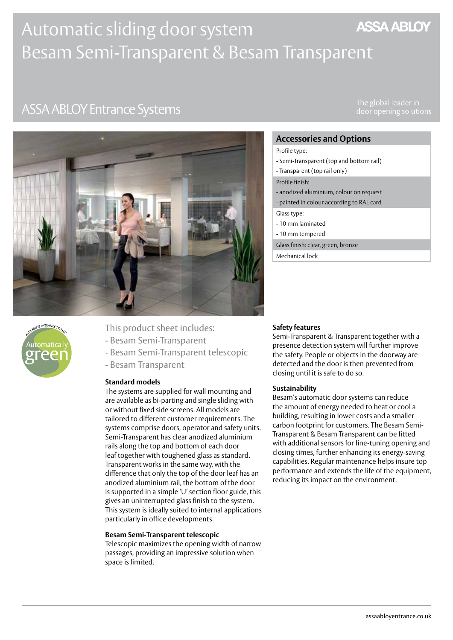# **ASSA ABLOY** Automatic sliding door system Besam Semi-Transparent & Besam Transparent

# **ASSA ABLOY Entrance Systems**

The global leader in





- This product sheet includes:
- Besam Semi-Transparent
- Besam Semi-Transparent telescopic
- Besam Transparent

## **Standard models**

The systems are supplied for wall mounting and are available as bi-parting and single sliding with or without fixed side screens. All models are tailored to different customer requirements. The systems comprise doors, operator and safety units. Semi-Transparent has clear anodized aluminium rails along the top and bottom of each door leaf together with toughened glass as standard. Transparent works in the same way, with the difference that only the top of the door leaf has an anodized aluminium rail, the bottom of the door is supported in a simple 'U' section floor guide, this gives an uninterrupted glass finish to the system. This system is ideally suited to internal applications particularly in office developments.

### **Besam Semi-Transparent telescopic**

Telescopic maximizes the opening width of narrow passages, providing an impressive solution when space is limited.

## **Accessories and Options**

- Profile type:
- Semi-Transparent (top and bottom rail)
- Transparent (top rail only)

#### Profile finish:

- anodized aluminium, colour on request
- painted in colour according to RAL card
- Glass type:
- 10 mm laminated
- 10 mm tempered
- Glass finish: clear, green, bronze
- Mechanical lock

## **Safety features**

Semi-Transparent & Transparent together with a presence detection system will further improve the safety. People or objects in the doorway are detected and the door is then prevented from closing until it is safe to do so.

### **Sustainability**

Besam's automatic door systems can reduce the amount of energy needed to heat or cool a building, resulting in lower costs and a smaller carbon footprint for customers. The Besam Semi-Transparent & Besam Transparent can be fitted with additional sensors for fine-tuning opening and closing times, further enhancing its energy-saving capabilities. Regular maintenance helps insure top performance and extends the life of the equipment, reducing its impact on the environment.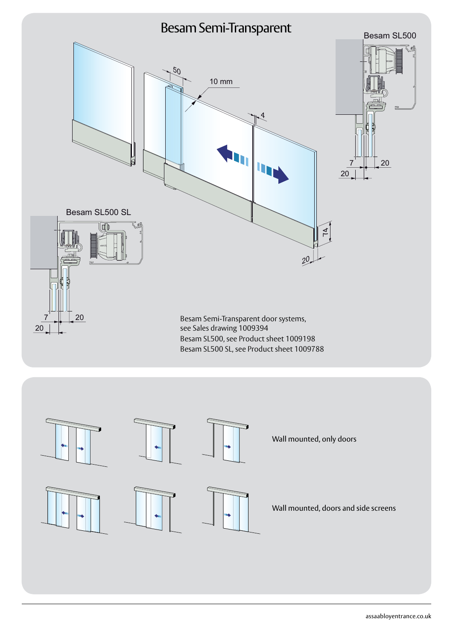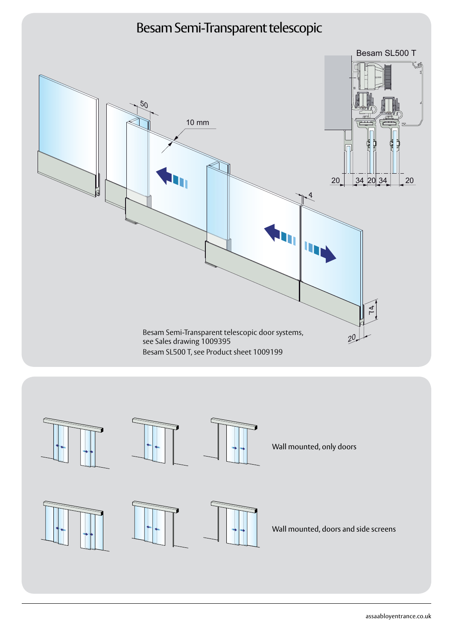